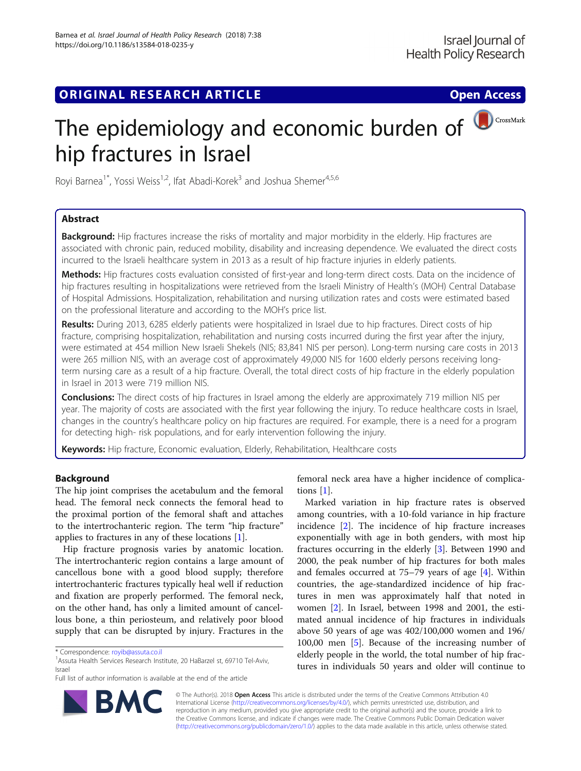## **ORIGINAL RESEARCH ARTICLE CONSUMING ACCESS**

# The epidemiology and economic burden of  $\bigcirc$  CrossMark hip fractures in Israel

Royi Barnea<sup>1\*</sup>, Yossi Weiss<sup>1,2</sup>, Ifat Abadi-Korek<sup>3</sup> and Joshua Shemer<sup>4,5,6</sup>

## Abstract

Background: Hip fractures increase the risks of mortality and major morbidity in the elderly. Hip fractures are associated with chronic pain, reduced mobility, disability and increasing dependence. We evaluated the direct costs incurred to the Israeli healthcare system in 2013 as a result of hip fracture injuries in elderly patients.

Methods: Hip fractures costs evaluation consisted of first-year and long-term direct costs. Data on the incidence of hip fractures resulting in hospitalizations were retrieved from the Israeli Ministry of Health's (MOH) Central Database of Hospital Admissions. Hospitalization, rehabilitation and nursing utilization rates and costs were estimated based on the professional literature and according to the MOH's price list.

Results: During 2013, 6285 elderly patients were hospitalized in Israel due to hip fractures. Direct costs of hip fracture, comprising hospitalization, rehabilitation and nursing costs incurred during the first year after the injury, were estimated at 454 million New Israeli Shekels (NIS; 83,841 NIS per person). Long-term nursing care costs in 2013 were 265 million NIS, with an average cost of approximately 49,000 NIS for 1600 elderly persons receiving longterm nursing care as a result of a hip fracture. Overall, the total direct costs of hip fracture in the elderly population in Israel in 2013 were 719 million NIS.

**Conclusions:** The direct costs of hip fractures in Israel among the elderly are approximately 719 million NIS per year. The majority of costs are associated with the first year following the injury. To reduce healthcare costs in Israel, changes in the country's healthcare policy on hip fractures are required. For example, there is a need for a program for detecting high- risk populations, and for early intervention following the injury.

Keywords: Hip fracture, Economic evaluation, Elderly, Rehabilitation, Healthcare costs

## Background

The hip joint comprises the acetabulum and the femoral head. The femoral neck connects the femoral head to the proximal portion of the femoral shaft and attaches to the intertrochanteric region. The term "hip fracture" applies to fractures in any of these locations [\[1](#page-7-0)].

Hip fracture prognosis varies by anatomic location. The intertrochanteric region contains a large amount of cancellous bone with a good blood supply; therefore intertrochanteric fractures typically heal well if reduction and fixation are properly performed. The femoral neck, on the other hand, has only a limited amount of cancellous bone, a thin periosteum, and relatively poor blood supply that can be disrupted by injury. Fractures in the



Marked variation in hip fracture rates is observed among countries, with a 10-fold variance in hip fracture incidence [[2\]](#page-7-0). The incidence of hip fracture increases exponentially with age in both genders, with most hip fractures occurring in the elderly [[3](#page-7-0)]. Between 1990 and 2000, the peak number of hip fractures for both males and females occurred at 75–79 years of age [[4](#page-7-0)]. Within countries, the age-standardized incidence of hip fractures in men was approximately half that noted in women [[2\]](#page-7-0). In Israel, between 1998 and 2001, the estimated annual incidence of hip fractures in individuals above 50 years of age was 402/100,000 women and 196/ 100,00 men [[5\]](#page-7-0). Because of the increasing number of elderly people in the world, the total number of hip fractures in individuals 50 years and older will continue to



© The Author(s). 2018 Open Access This article is distributed under the terms of the Creative Commons Attribution 4.0 International License [\(http://creativecommons.org/licenses/by/4.0/](http://creativecommons.org/licenses/by/4.0/)), which permits unrestricted use, distribution, and reproduction in any medium, provided you give appropriate credit to the original author(s) and the source, provide a link to the Creative Commons license, and indicate if changes were made. The Creative Commons Public Domain Dedication waiver [\(http://creativecommons.org/publicdomain/zero/1.0/](http://creativecommons.org/publicdomain/zero/1.0/)) applies to the data made available in this article, unless otherwise stated.

<sup>\*</sup> Correspondence: [royib@assuta.co.il](mailto:royib@assuta.co.il) <sup>1</sup>

<sup>&</sup>lt;sup>1</sup> Assuta Health Services Research Institute, 20 HaBarzel st, 69710 Tel-Aviv, Israel

Full list of author information is available at the end of the article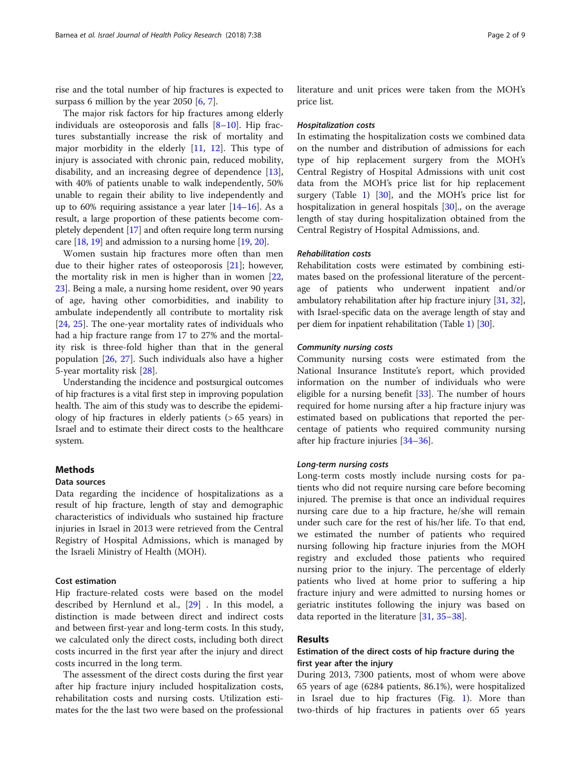rise and the total number of hip fractures is expected to surpass 6 million by the year 2050  $[6, 7]$  $[6, 7]$  $[6, 7]$  $[6, 7]$ .

The major risk factors for hip fractures among elderly individuals are osteoporosis and falls  $[8-10]$  $[8-10]$  $[8-10]$ . Hip fractures substantially increase the risk of mortality and major morbidity in the elderly  $[11, 12]$  $[11, 12]$  $[11, 12]$  $[11, 12]$ . This type of injury is associated with chronic pain, reduced mobility, disability, and an increasing degree of dependence [\[13](#page-7-0)], with 40% of patients unable to walk independently, 50% unable to regain their ability to live independently and up to 60% requiring assistance a year later [\[14](#page-7-0)–[16\]](#page-7-0). As a result, a large proportion of these patients become completely dependent [[17](#page-7-0)] and often require long term nursing care [[18](#page-7-0), [19\]](#page-7-0) and admission to a nursing home [[19](#page-7-0), [20\]](#page-7-0).

Women sustain hip fractures more often than men due to their higher rates of osteoporosis [\[21](#page-7-0)]; however, the mortality risk in men is higher than in women [[22](#page-7-0), [23\]](#page-7-0). Being a male, a nursing home resident, over 90 years of age, having other comorbidities, and inability to ambulate independently all contribute to mortality risk [[24,](#page-7-0) [25\]](#page-7-0). The one-year mortality rates of individuals who had a hip fracture range from 17 to 27% and the mortality risk is three-fold higher than that in the general population [[26,](#page-7-0) [27](#page-7-0)]. Such individuals also have a higher 5-year mortality risk [\[28](#page-7-0)].

Understanding the incidence and postsurgical outcomes of hip fractures is a vital first step in improving population health. The aim of this study was to describe the epidemiology of hip fractures in elderly patients (> 65 years) in Israel and to estimate their direct costs to the healthcare system.

#### Methods

#### Data sources

Data regarding the incidence of hospitalizations as a result of hip fracture, length of stay and demographic characteristics of individuals who sustained hip fracture injuries in Israel in 2013 were retrieved from the Central Registry of Hospital Admissions, which is managed by the Israeli Ministry of Health (MOH).

#### Cost estimation

Hip fracture-related costs were based on the model described by Hernlund et al., [\[29](#page-7-0)] . In this model, a distinction is made between direct and indirect costs and between first-year and long-term costs. In this study, we calculated only the direct costs, including both direct costs incurred in the first year after the injury and direct costs incurred in the long term.

The assessment of the direct costs during the first year after hip fracture injury included hospitalization costs, rehabilitation costs and nursing costs. Utilization estimates for the the last two were based on the professional literature and unit prices were taken from the MOH's price list.

#### Hospitalization costs

In estimating the hospitalization costs we combined data on the number and distribution of admissions for each type of hip replacement surgery from the MOH's Central Registry of Hospital Admissions with unit cost data from the MOH's price list for hip replacement surgery (Table [1](#page-2-0)) [\[30](#page-7-0)], and the MOH's price list for hospitalization in general hospitals [\[30\]](#page-7-0)., on the average length of stay during hospitalization obtained from the Central Registry of Hospital Admissions, and.

#### Rehabilitation costs

Rehabilitation costs were estimated by combining estimates based on the professional literature of the percentage of patients who underwent inpatient and/or ambulatory rehabilitation after hip fracture injury [\[31,](#page-7-0) [32](#page-7-0)], with Israel-specific data on the average length of stay and per diem for inpatient rehabilitation (Table [1](#page-2-0)) [\[30\]](#page-7-0).

#### Community nursing costs

Community nursing costs were estimated from the National Insurance Institute's report, which provided information on the number of individuals who were eligible for a nursing benefit [\[33](#page-7-0)]. The number of hours required for home nursing after a hip fracture injury was estimated based on publications that reported the percentage of patients who required community nursing after hip fracture injuries [\[34](#page-7-0)–[36\]](#page-7-0).

#### Long-term nursing costs

Long-term costs mostly include nursing costs for patients who did not require nursing care before becoming injured. The premise is that once an individual requires nursing care due to a hip fracture, he/she will remain under such care for the rest of his/her life. To that end, we estimated the number of patients who required nursing following hip fracture injuries from the MOH registry and excluded those patients who required nursing prior to the injury. The percentage of elderly patients who lived at home prior to suffering a hip fracture injury and were admitted to nursing homes or geriatric institutes following the injury was based on data reported in the literature [[31,](#page-7-0) [35](#page-7-0)–[38](#page-7-0)].

#### Results

## Estimation of the direct costs of hip fracture during the first year after the injury

During 2013, 7300 patients, most of whom were above 65 years of age (6284 patients, 86.1%), were hospitalized in Israel due to hip fractures (Fig. [1\)](#page-2-0). More than two-thirds of hip fractures in patients over 65 years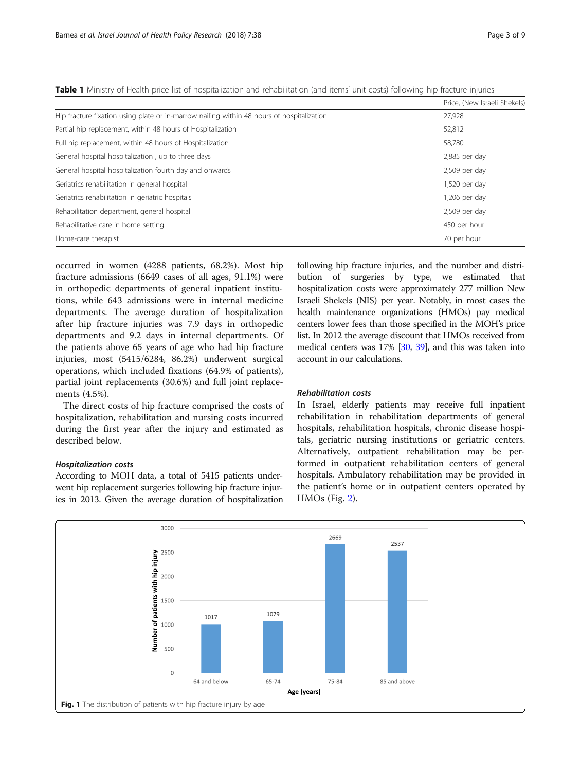<span id="page-2-0"></span>Table 1 Ministry of Health price list of hospitalization and rehabilitation (and items' unit costs) following hip fracture injuries

|                                                                                           | Price, (New Israeli Shekels) |
|-------------------------------------------------------------------------------------------|------------------------------|
| Hip fracture fixation using plate or in-marrow nailing within 48 hours of hospitalization | 27,928                       |
| Partial hip replacement, within 48 hours of Hospitalization                               | 52,812                       |
| Full hip replacement, within 48 hours of Hospitalization                                  | 58,780                       |
| General hospital hospitalization, up to three days                                        | $2,885$ per day              |
| General hospital hospitalization fourth day and onwards                                   | $2,509$ per day              |
| Geriatrics rehabilitation in general hospital                                             | $1,520$ per day              |
| Geriatrics rehabilitation in geriatric hospitals                                          | $1,206$ per day              |
| Rehabilitation department, general hospital                                               | $2,509$ per day              |
| Rehabilitative care in home setting                                                       | 450 per hour                 |
| Home-care therapist                                                                       | 70 per hour                  |

occurred in women (4288 patients, 68.2%). Most hip fracture admissions (6649 cases of all ages, 91.1%) were in orthopedic departments of general inpatient institutions, while 643 admissions were in internal medicine departments. The average duration of hospitalization after hip fracture injuries was 7.9 days in orthopedic departments and 9.2 days in internal departments. Of the patients above 65 years of age who had hip fracture injuries, most (5415/6284, 86.2%) underwent surgical operations, which included fixations (64.9% of patients), partial joint replacements (30.6%) and full joint replacements (4.5%).

The direct costs of hip fracture comprised the costs of hospitalization, rehabilitation and nursing costs incurred during the first year after the injury and estimated as described below.

### Hospitalization costs

According to MOH data, a total of 5415 patients underwent hip replacement surgeries following hip fracture injuries in 2013. Given the average duration of hospitalization following hip fracture injuries, and the number and distribution of surgeries by type, we estimated that hospitalization costs were approximately 277 million New Israeli Shekels (NIS) per year. Notably, in most cases the health maintenance organizations (HMOs) pay medical centers lower fees than those specified in the MOH's price list. In 2012 the average discount that HMOs received from medical centers was 17% [\[30,](#page-7-0) [39\]](#page-7-0), and this was taken into account in our calculations.

## Rehabilitation costs

In Israel, elderly patients may receive full inpatient rehabilitation in rehabilitation departments of general hospitals, rehabilitation hospitals, chronic disease hospitals, geriatric nursing institutions or geriatric centers. Alternatively, outpatient rehabilitation may be performed in outpatient rehabilitation centers of general hospitals. Ambulatory rehabilitation may be provided in the patient's home or in outpatient centers operated by HMOs (Fig. [2](#page-3-0)).

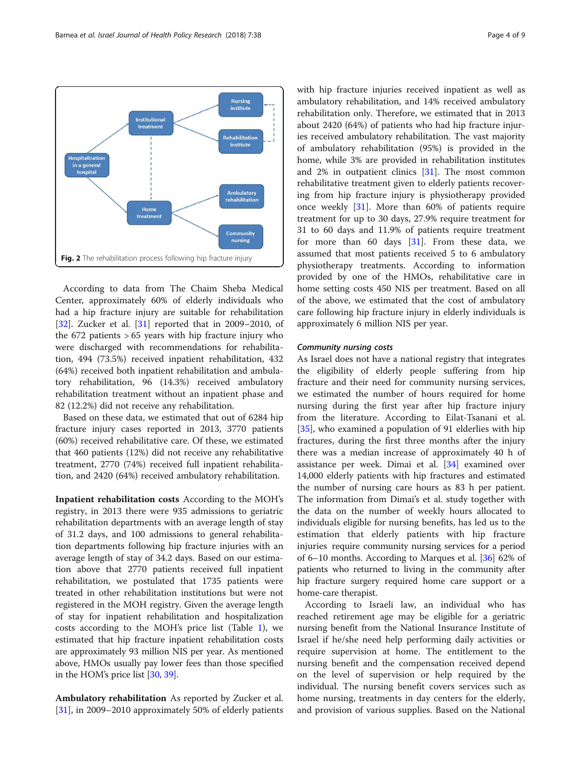<span id="page-3-0"></span>

According to data from The Chaim Sheba Medical Center, approximately 60% of elderly individuals who had a hip fracture injury are suitable for rehabilitation [[32\]](#page-7-0). Zucker et al.  $[31]$  $[31]$  reported that in 2009–2010, of the 672 patients > 65 years with hip fracture injury who were discharged with recommendations for rehabilitation, 494 (73.5%) received inpatient rehabilitation, 432 (64%) received both inpatient rehabilitation and ambulatory rehabilitation, 96 (14.3%) received ambulatory rehabilitation treatment without an inpatient phase and 82 (12.2%) did not receive any rehabilitation.

Based on these data, we estimated that out of 6284 hip fracture injury cases reported in 2013, 3770 patients (60%) received rehabilitative care. Of these, we estimated that 460 patients (12%) did not receive any rehabilitative treatment, 2770 (74%) received full inpatient rehabilitation, and 2420 (64%) received ambulatory rehabilitation.

Inpatient rehabilitation costs According to the MOH's registry, in 2013 there were 935 admissions to geriatric rehabilitation departments with an average length of stay of 31.2 days, and 100 admissions to general rehabilitation departments following hip fracture injuries with an average length of stay of 34.2 days. Based on our estimation above that 2770 patients received full inpatient rehabilitation, we postulated that 1735 patients were treated in other rehabilitation institutions but were not registered in the MOH registry. Given the average length of stay for inpatient rehabilitation and hospitalization costs according to the MOH's price list (Table [1](#page-2-0)), we estimated that hip fracture inpatient rehabilitation costs are approximately 93 million NIS per year. As mentioned above, HMOs usually pay lower fees than those specified in the HOM's price list [[30](#page-7-0), [39\]](#page-7-0).

Ambulatory rehabilitation As reported by Zucker et al. [[31\]](#page-7-0), in 2009–2010 approximately 50% of elderly patients with hip fracture injuries received inpatient as well as ambulatory rehabilitation, and 14% received ambulatory rehabilitation only. Therefore, we estimated that in 2013 about 2420 (64%) of patients who had hip fracture injuries received ambulatory rehabilitation. The vast majority of ambulatory rehabilitation (95%) is provided in the home, while 3% are provided in rehabilitation institutes and 2% in outpatient clinics [[31](#page-7-0)]. The most common rehabilitative treatment given to elderly patients recovering from hip fracture injury is physiotherapy provided once weekly [\[31](#page-7-0)]. More than 60% of patients require treatment for up to 30 days, 27.9% require treatment for 31 to 60 days and 11.9% of patients require treatment for more than 60 days [[31](#page-7-0)]. From these data, we assumed that most patients received 5 to 6 ambulatory physiotherapy treatments. According to information provided by one of the HMOs, rehabilitative care in home setting costs 450 NIS per treatment. Based on all of the above, we estimated that the cost of ambulatory care following hip fracture injury in elderly individuals is approximately 6 million NIS per year.

#### Community nursing costs

As Israel does not have a national registry that integrates the eligibility of elderly people suffering from hip fracture and their need for community nursing services, we estimated the number of hours required for home nursing during the first year after hip fracture injury from the literature. According to Eilat-Tsanani et al. [[35\]](#page-7-0), who examined a population of 91 elderlies with hip fractures, during the first three months after the injury there was a median increase of approximately 40 h of assistance per week. Dimai et al. [[34\]](#page-7-0) examined over 14,000 elderly patients with hip fractures and estimated the number of nursing care hours as 83 h per patient. The information from Dimai's et al. study together with the data on the number of weekly hours allocated to individuals eligible for nursing benefits, has led us to the estimation that elderly patients with hip fracture injuries require community nursing services for a period of 6–10 months. According to Marques et al. [\[36\]](#page-7-0) 62% of patients who returned to living in the community after hip fracture surgery required home care support or a home-care therapist.

According to Israeli law, an individual who has reached retirement age may be eligible for a geriatric nursing benefit from the National Insurance Institute of Israel if he/she need help performing daily activities or require supervision at home. The entitlement to the nursing benefit and the compensation received depend on the level of supervision or help required by the individual. The nursing benefit covers services such as home nursing, treatments in day centers for the elderly, and provision of various supplies. Based on the National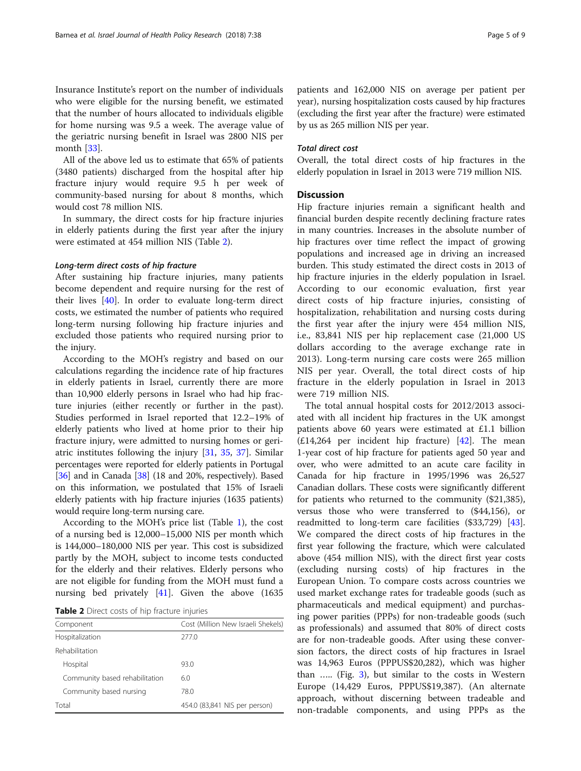Insurance Institute's report on the number of individuals who were eligible for the nursing benefit, we estimated that the number of hours allocated to individuals eligible for home nursing was 9.5 a week. The average value of the geriatric nursing benefit in Israel was 2800 NIS per month [\[33\]](#page-7-0).

All of the above led us to estimate that 65% of patients (3480 patients) discharged from the hospital after hip fracture injury would require 9.5 h per week of community-based nursing for about 8 months, which would cost 78 million NIS.

In summary, the direct costs for hip fracture injuries in elderly patients during the first year after the injury were estimated at 454 million NIS (Table 2).

## Long-term direct costs of hip fracture

After sustaining hip fracture injuries, many patients become dependent and require nursing for the rest of their lives [\[40](#page-7-0)]. In order to evaluate long-term direct costs, we estimated the number of patients who required long-term nursing following hip fracture injuries and excluded those patients who required nursing prior to the injury.

According to the MOH's registry and based on our calculations regarding the incidence rate of hip fractures in elderly patients in Israel, currently there are more than 10,900 elderly persons in Israel who had hip fracture injuries (either recently or further in the past). Studies performed in Israel reported that 12.2–19% of elderly patients who lived at home prior to their hip fracture injury, were admitted to nursing homes or geriatric institutes following the injury [\[31](#page-7-0), [35](#page-7-0), [37](#page-7-0)]. Similar percentages were reported for elderly patients in Portugal [[36](#page-7-0)] and in Canada [[38](#page-7-0)] (18 and 20%, respectively). Based on this information, we postulated that 15% of Israeli elderly patients with hip fracture injuries (1635 patients) would require long-term nursing care.

According to the MOH's price list (Table [1\)](#page-2-0), the cost of a nursing bed is 12,000–15,000 NIS per month which is 144,000–180,000 NIS per year. This cost is subsidized partly by the MOH, subject to income tests conducted for the elderly and their relatives. Elderly persons who are not eligible for funding from the MOH must fund a nursing bed privately [\[41](#page-7-0)]. Given the above (1635

Table 2 Direct costs of hip fracture injuries

| Component                      | Cost (Million New Israeli Shekels) |
|--------------------------------|------------------------------------|
| Hospitalization                | 277 O                              |
| Rehabilitation                 |                                    |
| Hospital                       | 93.0                               |
| Community based rehabilitation | 6.0                                |
| Community based nursing        | 78.0                               |
| Total                          | 454.0 (83,841 NIS per person)      |
|                                |                                    |

patients and 162,000 NIS on average per patient per year), nursing hospitalization costs caused by hip fractures (excluding the first year after the fracture) were estimated by us as 265 million NIS per year.

#### Total direct cost

Overall, the total direct costs of hip fractures in the elderly population in Israel in 2013 were 719 million NIS.

## **Discussion**

Hip fracture injuries remain a significant health and financial burden despite recently declining fracture rates in many countries. Increases in the absolute number of hip fractures over time reflect the impact of growing populations and increased age in driving an increased burden. This study estimated the direct costs in 2013 of hip fracture injuries in the elderly population in Israel. According to our economic evaluation, first year direct costs of hip fracture injuries, consisting of hospitalization, rehabilitation and nursing costs during the first year after the injury were 454 million NIS, i.e., 83,841 NIS per hip replacement case (21,000 US dollars according to the average exchange rate in 2013). Long-term nursing care costs were 265 million NIS per year. Overall, the total direct costs of hip fracture in the elderly population in Israel in 2013 were 719 million NIS.

The total annual hospital costs for 2012/2013 associated with all incident hip fractures in the UK amongst patients above 60 years were estimated at £1.1 billion  $(E14,264)$  per incident hip fracture) [\[42](#page-7-0)]. The mean 1-year cost of hip fracture for patients aged 50 year and over, who were admitted to an acute care facility in Canada for hip fracture in 1995/1996 was 26,527 Canadian dollars. These costs were significantly different for patients who returned to the community (\$21,385), versus those who were transferred to (\$44,156), or readmitted to long-term care facilities (\$33,729) [\[43](#page-7-0)]. We compared the direct costs of hip fractures in the first year following the fracture, which were calculated above (454 million NIS), with the direct first year costs (excluding nursing costs) of hip fractures in the European Union. To compare costs across countries we used market exchange rates for tradeable goods (such as pharmaceuticals and medical equipment) and purchasing power parities (PPPs) for non-tradeable goods (such as professionals) and assumed that 80% of direct costs are for non-tradeable goods. After using these conversion factors, the direct costs of hip fractures in Israel was 14,963 Euros (PPPUS\$20,282), which was higher than ….. (Fig. [3](#page-5-0)), but similar to the costs in Western Europe (14,429 Euros, PPPUS\$19,387). (An alternate approach, without discerning between tradeable and non-tradable components, and using PPPs as the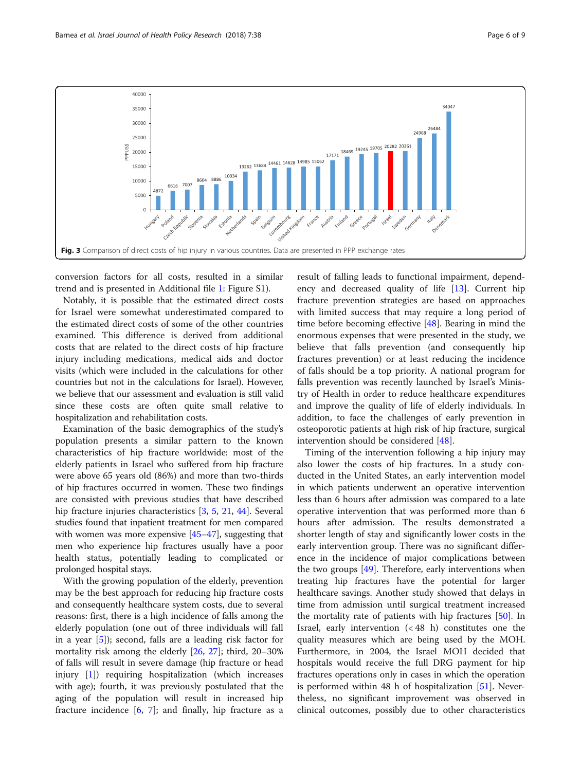<span id="page-5-0"></span>

conversion factors for all costs, resulted in a similar trend and is presented in Additional file [1:](#page-6-0) Figure S1).

Notably, it is possible that the estimated direct costs for Israel were somewhat underestimated compared to the estimated direct costs of some of the other countries examined. This difference is derived from additional costs that are related to the direct costs of hip fracture injury including medications, medical aids and doctor visits (which were included in the calculations for other countries but not in the calculations for Israel). However, we believe that our assessment and evaluation is still valid since these costs are often quite small relative to hospitalization and rehabilitation costs.

Examination of the basic demographics of the study's population presents a similar pattern to the known characteristics of hip fracture worldwide: most of the elderly patients in Israel who suffered from hip fracture were above 65 years old (86%) and more than two-thirds of hip fractures occurred in women. These two findings are consisted with previous studies that have described hip fracture injuries characteristics [[3,](#page-7-0) [5](#page-7-0), [21](#page-7-0), [44\]](#page-7-0). Several studies found that inpatient treatment for men compared with women was more expensive [[45](#page-7-0)–[47\]](#page-7-0), suggesting that men who experience hip fractures usually have a poor health status, potentially leading to complicated or prolonged hospital stays.

With the growing population of the elderly, prevention may be the best approach for reducing hip fracture costs and consequently healthcare system costs, due to several reasons: first, there is a high incidence of falls among the elderly population (one out of three individuals will fall in a year [\[5](#page-7-0)]); second, falls are a leading risk factor for mortality risk among the elderly [\[26,](#page-7-0) [27](#page-7-0)]; third, 20–30% of falls will result in severe damage (hip fracture or head injury [\[1](#page-7-0)]) requiring hospitalization (which increases with age); fourth, it was previously postulated that the aging of the population will result in increased hip fracture incidence  $[6, 7]$  $[6, 7]$  $[6, 7]$ ; and finally, hip fracture as a

result of falling leads to functional impairment, dependency and decreased quality of life [[13\]](#page-7-0). Current hip fracture prevention strategies are based on approaches with limited success that may require a long period of time before becoming effective  $[48]$  $[48]$ . Bearing in mind the enormous expenses that were presented in the study, we believe that falls prevention (and consequently hip fractures prevention) or at least reducing the incidence of falls should be a top priority. A national program for falls prevention was recently launched by Israel's Ministry of Health in order to reduce healthcare expenditures and improve the quality of life of elderly individuals. In addition, to face the challenges of early prevention in osteoporotic patients at high risk of hip fracture, surgical intervention should be considered [[48\]](#page-7-0).

Timing of the intervention following a hip injury may also lower the costs of hip fractures. In a study conducted in the United States, an early intervention model in which patients underwent an operative intervention less than 6 hours after admission was compared to a late operative intervention that was performed more than 6 hours after admission. The results demonstrated a shorter length of stay and significantly lower costs in the early intervention group. There was no significant difference in the incidence of major complications between the two groups  $[49]$ . Therefore, early interventions when treating hip fractures have the potential for larger healthcare savings. Another study showed that delays in time from admission until surgical treatment increased the mortality rate of patients with hip fractures [[50\]](#page-8-0). In Israel, early intervention (< 48 h) constitutes one the quality measures which are being used by the MOH. Furthermore, in 2004, the Israel MOH decided that hospitals would receive the full DRG payment for hip fractures operations only in cases in which the operation is performed within 48 h of hospitalization [[51\]](#page-8-0). Nevertheless, no significant improvement was observed in clinical outcomes, possibly due to other characteristics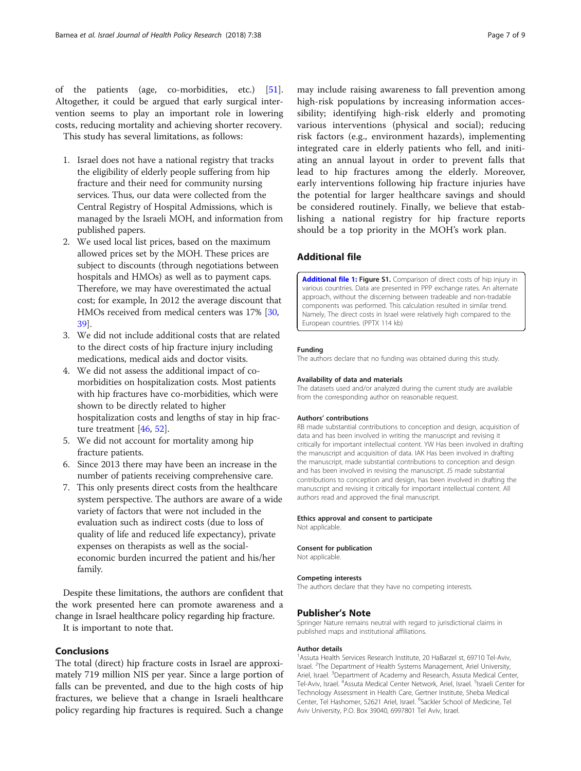<span id="page-6-0"></span>of the patients (age, co-morbidities, etc.) [\[51](#page-8-0)]. Altogether, it could be argued that early surgical intervention seems to play an important role in lowering costs, reducing mortality and achieving shorter recovery. This study has several limitations, as follows:

- 1. Israel does not have a national registry that tracks the eligibility of elderly people suffering from hip fracture and their need for community nursing services. Thus, our data were collected from the Central Registry of Hospital Admissions, which is managed by the Israeli MOH, and information from published papers.
- 2. We used local list prices, based on the maximum allowed prices set by the MOH. These prices are subject to discounts (through negotiations between hospitals and HMOs) as well as to payment caps. Therefore, we may have overestimated the actual cost; for example, In 2012 the average discount that HMOs received from medical centers was 17% [\[30](#page-7-0), [39\]](#page-7-0).
- 3. We did not include additional costs that are related to the direct costs of hip fracture injury including medications, medical aids and doctor visits.
- 4. We did not assess the additional impact of comorbidities on hospitalization costs. Most patients with hip fractures have co-morbidities, which were shown to be directly related to higher hospitalization costs and lengths of stay in hip fracture treatment [\[46,](#page-7-0) [52](#page-8-0)].
- 5. We did not account for mortality among hip fracture patients.
- 6. Since 2013 there may have been an increase in the number of patients receiving comprehensive care.
- 7. This only presents direct costs from the healthcare system perspective. The authors are aware of a wide variety of factors that were not included in the evaluation such as indirect costs (due to loss of quality of life and reduced life expectancy), private expenses on therapists as well as the socialeconomic burden incurred the patient and his/her family.

Despite these limitations, the authors are confident that the work presented here can promote awareness and a change in Israel healthcare policy regarding hip fracture.

It is important to note that.

## Conclusions

The total (direct) hip fracture costs in Israel are approximately 719 million NIS per year. Since a large portion of falls can be prevented, and due to the high costs of hip fractures, we believe that a change in Israeli healthcare policy regarding hip fractures is required. Such a change

may include raising awareness to fall prevention among high-risk populations by increasing information accessibility; identifying high-risk elderly and promoting various interventions (physical and social); reducing risk factors (e.g., environment hazards), implementing integrated care in elderly patients who fell, and initiating an annual layout in order to prevent falls that lead to hip fractures among the elderly. Moreover, early interventions following hip fracture injuries have the potential for larger healthcare savings and should be considered routinely. Finally, we believe that establishing a national registry for hip fracture reports should be a top priority in the MOH's work plan.

## Additional file

[Additional file 1:](https://doi.org/10.1186/s13584-018-0235-y) Figure S1. Comparison of direct costs of hip injury in various countries. Data are presented in PPP exchange rates. An alternate approach, without the discerning between tradeable and non-tradable components was performed. This calculation resulted in similar trend. Namely, The direct costs in Israel were relatively high compared to the European countries. (PPTX 114 kb)

#### Funding

The authors declare that no funding was obtained during this study.

#### Availability of data and materials

The datasets used and/or analyzed during the current study are available from the corresponding author on reasonable request.

#### Authors' contributions

RB made substantial contributions to conception and design, acquisition of data and has been involved in writing the manuscript and revising it critically for important intellectual content. YW Has been involved in drafting the manuscript and acquisition of data. IAK Has been involved in drafting the manuscript, made substantial contributions to conception and design and has been involved in revising the manuscript. JS made substantial contributions to conception and design, has been involved in drafting the manuscript and revising it critically for important intellectual content. All authors read and approved the final manuscript.

#### Ethics approval and consent to participate

Not applicable.

#### Consent for publication Not applicable.

Competing interests

The authors declare that they have no competing interests.

#### Publisher's Note

Springer Nature remains neutral with regard to jurisdictional claims in published maps and institutional affiliations.

#### Author details

<sup>1</sup> Assuta Health Services Research Institute, 20 HaBarzel st, 69710 Tel-Aviv, Israel. <sup>2</sup>The Department of Health Systems Management, Ariel University, Ariel, Israel. <sup>3</sup>Department of Academy and Research, Assuta Medical Center Tel-Aviv, Israel. <sup>4</sup>Assuta Medical Center Network, Ariel, Israel. <sup>5</sup>Israeli Center for Technology Assessment in Health Care, Gertner Institute, Sheba Medical Center, Tel Hashomer, 52621 Ariel, Israel. <sup>6</sup>Sackler School of Medicine, Tel Aviv University, P.O. Box 39040, 6997801 Tel Aviv, Israel.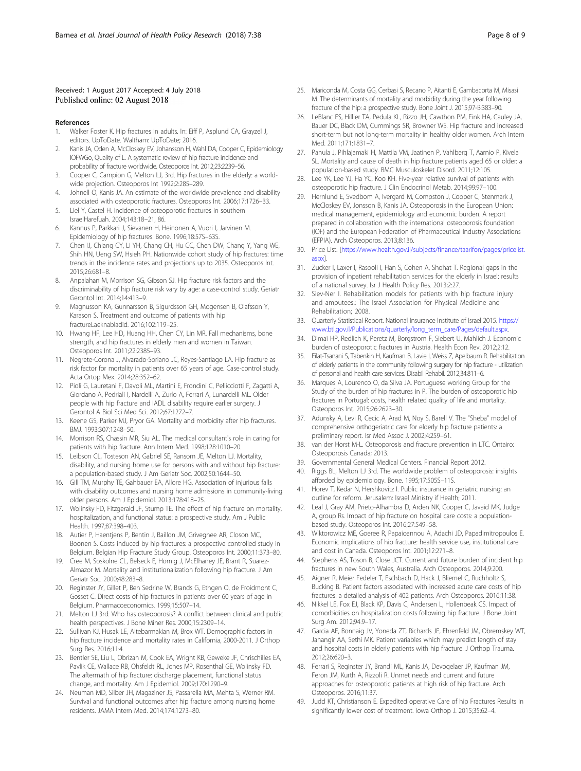#### <span id="page-7-0"></span>Received: 1 August 2017 Accepted: 4 July 2018 Published online: 02 August 2018

#### References

- 1. Walker Foster K. Hip fractures in adults. In: Eiff P, Asplund CA, Grayzel J, editors. UpToDate. Waltham: UpToDate; 2016.
- 2. Kanis JA, Oden A, McCloskey EV, Johansson H, Wahl DA, Cooper C, Epidemiology IOFWGo, Quality of L. A systematic review of hip fracture incidence and probability of fracture worldwide. Osteoporos Int. 2012;23:2239–56.
- 3. Cooper C, Campion G, Melton LJ, 3rd. Hip fractures in the elderly: a worldwide projection. Osteoporos Int 1992;2:285–289.
- 4. Johnell O, Kanis JA. An estimate of the worldwide prevalence and disability associated with osteoporotic fractures. Osteoporos Int. 2006;17:1726–33.
- 5. Liel Y, Castel H. Incidence of osteoporotic fractures in southern IsraelHarefuah. 2004;143:18–21, 86.
- 6. Kannus P, Parkkari J, Sievanen H, Heinonen A, Vuori I, Jarvinen M. Epidemiology of hip fractures. Bone. 1996;18:57S–63S.
- 7. Chen IJ, Chiang CY, Li YH, Chang CH, Hu CC, Chen DW, Chang Y, Yang WE, Shih HN, Ueng SW, Hsieh PH. Nationwide cohort study of hip fractures: time trends in the incidence rates and projections up to 2035. Osteoporos Int. 2015;26:681–8.
- 8. Anpalahan M, Morrison SG, Gibson SJ. Hip fracture risk factors and the discriminability of hip fracture risk vary by age: a case-control study. Geriatr Gerontol Int. 2014;14:413–9.
- 9. Magnusson KA, Gunnarsson B, Sigurdsson GH, Mogensen B, Olafsson Y, Karason S. Treatment and outcome of patients with hip fractureLaeknabladid. 2016;102:119–25.
- 10. Hwang HF, Lee HD, Huang HH, Chen CY, Lin MR. Fall mechanisms, bone strength, and hip fractures in elderly men and women in Taiwan. Osteoporos Int. 2011;22:2385–93.
- 11. Negrete-Corona J, Alvarado-Soriano JC, Reyes-Santiago LA. Hip fracture as risk factor for mortality in patients over 65 years of age. Case-control study. Acta Ortop Mex. 2014;28:352–62.
- 12. Pioli G, Lauretani F, Davoli ML, Martini E, Frondini C, Pellicciotti F, Zagatti A, Giordano A, Pedriali I, Nardelli A, Zurlo A, Ferrari A, Lunardelli ML. Older people with hip fracture and IADL disability require earlier surgery. J Gerontol A Biol Sci Med Sci. 2012;67:1272–7.
- 13. Keene GS, Parker MJ, Pryor GA. Mortality and morbidity after hip fractures. BMJ. 1993;307:1248–50.
- 14. Morrison RS, Chassin MR, Siu AL. The medical consultant's role in caring for patients with hip fracture. Ann Intern Med. 1998;128:1010–20.
- 15. Leibson CL, Tosteson AN, Gabriel SE, Ransom JE, Melton LJ. Mortality, disability, and nursing home use for persons with and without hip fracture: a population-based study. J Am Geriatr Soc. 2002;50:1644–50.
- 16. Gill TM, Murphy TE, Gahbauer EA, Allore HG. Association of injurious falls with disability outcomes and nursing home admissions in community-living older persons. Am J Epidemiol. 2013;178:418–25.
- 17. Wolinsky FD, Fitzgerald JF, Stump TE. The effect of hip fracture on mortality, hospitalization, and functional status: a prospective study. Am J Public Health. 1997;87:398–403.
- 18. Autier P, Haentjens P, Bentin J, Baillon JM, Grivegnee AR, Closon MC, Boonen S. Costs induced by hip fractures: a prospective controlled study in Belgium. Belgian Hip Fracture Study Group. Osteoporos Int. 2000;11:373–80.
- 19. Cree M, Soskolne CL, Belseck E, Hornig J, McElhaney JE, Brant R, Suarez-Almazor M. Mortality and institutionalization following hip fracture. J Am Geriatr Soc. 2000;48:283–8.
- 20. Reginster JY, Gillet P, Ben Sedrine W, Brands G, Ethgen O, de Froidmont C, Gosset C. Direct costs of hip fractures in patients over 60 years of age in Belgium. Pharmacoeconomics. 1999;15:507–14.
- 21. Melton LJ 3rd. Who has osteoporosis? A conflict between clinical and public health perspectives. J Bone Miner Res. 2000;15:2309–14.
- 22. Sullivan KJ, Husak LE, Altebarmakian M, Brox WT. Demographic factors in hip fracture incidence and mortality rates in California, 2000-2011. J Orthop Surg Res. 2016;11:4.
- 23. Bentler SE, Liu L, Obrizan M, Cook EA, Wright KB, Geweke JF, Chrischilles EA, Pavlik CE, Wallace RB, Ohsfeldt RL, Jones MP, Rosenthal GE, Wolinsky FD. The aftermath of hip fracture: discharge placement, functional status change, and mortality. Am J Epidemiol. 2009;170:1290–9.
- 24. Neuman MD, Silber JH, Magaziner JS, Passarella MA, Mehta S, Werner RM. Survival and functional outcomes after hip fracture among nursing home residents. JAMA Intern Med. 2014;174:1273–80.
- 25. Mariconda M, Costa GG, Cerbasi S, Recano P, Aitanti E, Gambacorta M, Misasi M. The determinants of mortality and morbidity during the year following fracture of the hip: a prospective study. Bone Joint J. 2015;97-B:383–90.
- 26. LeBlanc ES, Hillier TA, Pedula KL, Rizzo JH, Cawthon PM, Fink HA, Cauley JA, Bauer DC, Black DM, Cummings SR, Browner WS. Hip fracture and increased short-term but not long-term mortality in healthy older women. Arch Intern Med. 2011;171:1831–7.
- 27. Panula J, Pihlajamaki H, Mattila VM, Jaatinen P, Vahlberg T, Aarnio P, Kivela SL. Mortality and cause of death in hip fracture patients aged 65 or older: a population-based study. BMC Musculoskelet Disord. 2011;12:105.
- 28. Lee YK, Lee YJ, Ha YC, Koo KH. Five-year relative survival of patients with osteoporotic hip fracture. J Clin Endocrinol Metab. 2014;99:97–100.
- 29. Hernlund E, Svedbom A, Ivergard M, Compston J, Cooper C, Stenmark J, McCloskey EV, Jonsson B, Kanis JA. Osteoporosis in the European Union: medical management, epidemiology and economic burden. A report prepared in collaboration with the international osteoporosis foundation (IOF) and the European Federation of Pharmaceutical Industry Associations (EFPIA). Arch Osteoporos. 2013;8:136.
- 30. Price List. [\[https://www.health.gov.il/subjects/finance/taarifon/pages/pricelist.](https://www.health.gov.il/subjects/finance/taarifon/pages/pricelist.aspx) [aspx](https://www.health.gov.il/subjects/finance/taarifon/pages/pricelist.aspx)].
- 31. Zucker I, Laxer I, Rasooli I, Han S, Cohen A, Shohat T. Regional gaps in the provision of inpatient rehabilitation services for the elderly in Israel: results of a national survey. Isr J Health Policy Res. 2013;2:27.
- 32. Siev-Ner I. Rehabilitation models for patients with hip fracture injury and amputees.: The Israel Association for Physical Medicine and Rehabilitation; 2008.
- 33. Quarterly Statistical Report. National Insurance Institute of Israel 2015. [https://](https://www.btl.gov.il/Publications/quarterly/long_term_care/Pages/default.aspx) [www.btl.gov.il/Publications/quarterly/long\\_term\\_care/Pages/default.aspx](https://www.btl.gov.il/Publications/quarterly/long_term_care/Pages/default.aspx).
- 34. Dimai HP, Redlich K, Peretz M, Borgstrom F, Siebert U, Mahlich J. Economic burden of osteoporotic fractures in Austria. Health Econ Rev. 2012;2:12.
- 35. Eilat-Tsanani S, Tabenkin H, Kaufman B, Lavie I, Weiss Z, Apelbaum R. Rehabilitation of elderly patients in the community following surgery for hip fracture - utilization of personal and health care services. Disabil Rehabil. 2012;34:811–6.
- 36. Marques A, Lourenco O, da Silva JA. Portuguese working Group for the Study of the burden of hip fractures in P. The burden of osteoporotic hip fractures in Portugal: costs, health related quality of life and mortality. Osteoporos Int. 2015;26:2623–30.
- 37. Adunsky A, Levi R, Cecic A, Arad M, Noy S, Barell V. The "Sheba" model of comprehensive orthogeriatric care for elderly hip fracture patients: a preliminary report. Isr Med Assoc J. 2002;4:259–61.
- 38. van der Horst M-L. Osteoporosis and fracture prevention in LTC. Ontairo: Osteoporosis Canada; 2013.
- 39. Governmental General Medical Centers. Financial Report 2012.
- 40. Riggs BL, Melton LJ 3rd. The worldwide problem of osteoporosis: insights afforded by epidemiology. Bone. 1995;17:505S–11S.
- 41. Horev T, Kedar N, Hershkovitz I. Public insurance in geriatric nursing: an outline for reform. Jerusalem: Israel Ministry if Health; 2011.
- 42. Leal J, Gray AM, Prieto-Alhambra D, Arden NK, Cooper C, Javaid MK, Judge A, group Rs. Impact of hip fracture on hospital care costs: a populationbased study. Osteoporos Int. 2016;27:549–58.
- 43. Wiktorowicz ME, Goeree R, Papaioannou A, Adachi JD, Papadimitropoulos E. Economic implications of hip fracture: health service use, institutional care and cost in Canada. Osteoporos Int. 2001;12:271–8.
- 44. Stephens AS, Toson B, Close JCT. Current and future burden of incident hip fractures in new South Wales, Australia. Arch Osteoporos. 2014;9:200.
- 45. Aigner R, Meier Fedeler T, Eschbach D, Hack J, Bliemel C, Ruchholtz S, Bucking B. Patient factors associated with increased acute care costs of hip fractures: a detailed analysis of 402 patients. Arch Osteoporos. 2016;11:38.
- 46. Nikkel LE, Fox EJ, Black KP, Davis C, Andersen L, Hollenbeak CS. Impact of comorbidities on hospitalization costs following hip fracture. J Bone Joint Surg Am. 2012;94:9–17.
- 47. Garcia AE, Bonnaig JV, Yoneda ZT, Richards JE, Ehrenfeld JM, Obremskey WT, Jahangir AA, Sethi MK. Patient variables which may predict length of stay and hospital costs in elderly patients with hip fracture. J Orthop Trauma. 2012;26:620–3.
- 48. Ferrari S, Reginster JY, Brandi ML, Kanis JA, Devogelaer JP, Kaufman JM, Feron JM, Kurth A, Rizzoli R. Unmet needs and current and future approaches for osteoporotic patients at high risk of hip fracture. Arch Osteoporos. 2016;11:37.
- 49. Judd KT, Christianson E. Expedited operative Care of hip Fractures Results in significantly lower cost of treatment. Iowa Orthop J. 2015;35:62–4.